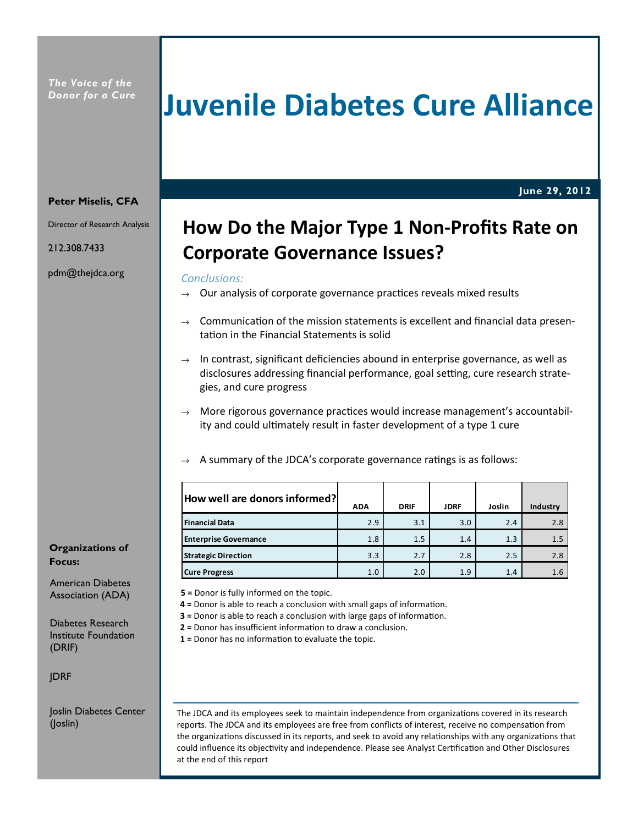# Juvenile Diabetes Cure Alliance

June 29, 2012

#### Peter Miselis, CFA

Director of Research Analysis

212.308.7433

pdm@thejdca.org

Organizations of Focus:

American Diabetes Association (ADA)

Diabetes Research Institute Foundation (DRIF)

JDRF

Joslin Diabetes Center (Joslin)

# How Do the Major Type 1 Non-Profits Rate on Corporate Governance Issues?

#### Conclusions:

- $\rightarrow$  Our analysis of corporate governance practices reveals mixed results
- Communication of the mission statements is excellent and financial data presentation in the Financial Statements is solid
- $\rightarrow$  In contrast, significant deficiencies abound in enterprise governance, as well as disclosures addressing financial performance, goal setting, cure research strategies, and cure progress
- $\rightarrow$  More rigorous governance practices would increase management's accountability and could ultimately result in faster development of a type 1 cure
- A summary of the JDCA's corporate governance ratings is as follows:

| How well are donors informed? | <b>ADA</b> | <b>DRIF</b> | <b>JDRF</b> | Joslin | Industry |
|-------------------------------|------------|-------------|-------------|--------|----------|
| <b>Financial Data</b>         | 2.9        | 3.1         | 3.0         | 2.4    | 2.8      |
| <b>Enterprise Governance</b>  | 1.8        | 1.5         | 1.4         | 1.3    | 1.5      |
| <b>Strategic Direction</b>    | 3.3        | 2.7         | 2.8         | 2.5    | 2.8      |
| <b>Cure Progress</b>          | 1.0        | 2.0         | 1.9         | 1.4    | 1.6      |

5 = Donor is fully informed on the topic.

- 4 = Donor is able to reach a conclusion with small gaps of information.
- $3$  = Donor is able to reach a conclusion with large gaps of information.
- $2$  = Donor has insufficient information to draw a conclusion.
- $1$  = Donor has no information to evaluate the topic.

The JDCA and its employees seek to maintain independence from organizations covered in its research reports. The JDCA and its employees are free from conflicts of interest, receive no compensation from the organizations discussed in its reports, and seek to avoid any relationships with any organizations that could influence its objectivity and independence. Please see Analyst Certification and Other Disclosures at the end of this report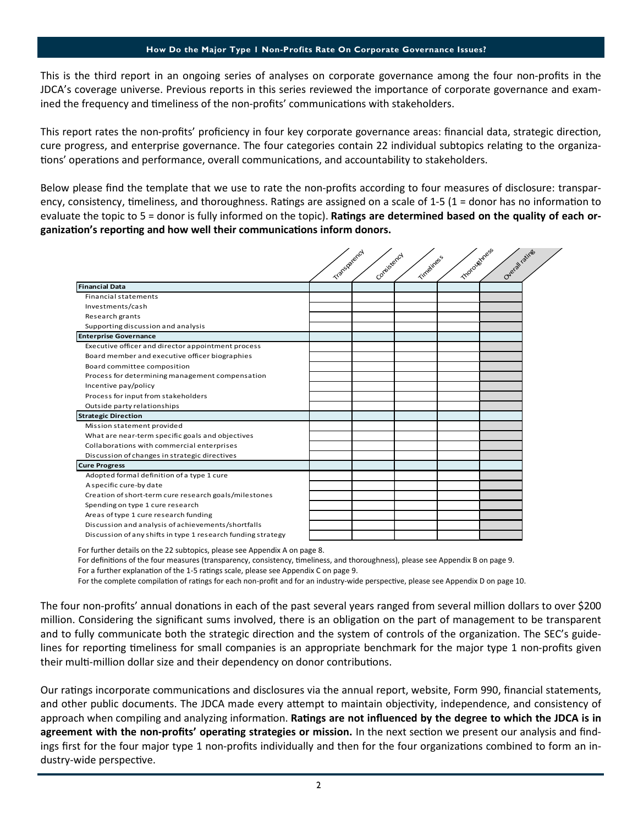This is the third report in an ongoing series of analyses on corporate governance among the four non-profits in the JDCA's coverage universe. Previous reports in this series reviewed the importance of corporate governance and examined the frequency and timeliness of the non-profits' communications with stakeholders.

This report rates the non-profits' proficiency in four key corporate governance areas: financial data, strategic direction, cure progress, and enterprise governance. The four categories contain 22 individual subtopics relating to the organizations' operations and performance, overall communications, and accountability to stakeholders.

Below please find the template that we use to rate the non-profits according to four measures of disclosure: transparency, consistency, timeliness, and thoroughness. Ratings are assigned on a scale of 1-5 (1 = donor has no information to evaluate the topic to  $5 =$  donor is fully informed on the topic). Ratings are determined based on the quality of each organization's reporting and how well their communications inform donors.

|                                                              | motoughness<br>Transportancy<br>Conteistency |  |            |  |                 |  |
|--------------------------------------------------------------|----------------------------------------------|--|------------|--|-----------------|--|
|                                                              |                                              |  | Timeliness |  | Overall ratings |  |
| <b>Financial Data</b>                                        |                                              |  |            |  |                 |  |
| <b>Financial statements</b>                                  |                                              |  |            |  |                 |  |
| Investments/cash                                             |                                              |  |            |  |                 |  |
| Research grants                                              |                                              |  |            |  |                 |  |
| Supporting discussion and analysis                           |                                              |  |            |  |                 |  |
| <b>Enterprise Governance</b>                                 |                                              |  |            |  |                 |  |
| Executive officer and director appointment process           |                                              |  |            |  |                 |  |
| Board member and executive officer biographies               |                                              |  |            |  |                 |  |
| Board committee composition                                  |                                              |  |            |  |                 |  |
| Process for determining management compensation              |                                              |  |            |  |                 |  |
| Incentive pay/policy                                         |                                              |  |            |  |                 |  |
| Process for input from stakeholders                          |                                              |  |            |  |                 |  |
| Outside party relationships                                  |                                              |  |            |  |                 |  |
| <b>Strategic Direction</b>                                   |                                              |  |            |  |                 |  |
| Mission statement provided                                   |                                              |  |            |  |                 |  |
| What are near-term specific goals and objectives             |                                              |  |            |  |                 |  |
| Collaborations with commercial enterprises                   |                                              |  |            |  |                 |  |
| Discussion of changes in strategic directives                |                                              |  |            |  |                 |  |
| <b>Cure Progress</b>                                         |                                              |  |            |  |                 |  |
| Adopted formal definition of a type 1 cure                   |                                              |  |            |  |                 |  |
| A specific cure-by date                                      |                                              |  |            |  |                 |  |
| Creation of short-term cure research goals/milestones        |                                              |  |            |  |                 |  |
| Spending on type 1 cure research                             |                                              |  |            |  |                 |  |
| Areas of type 1 cure research funding                        |                                              |  |            |  |                 |  |
| Discussion and analysis of achievements/shortfalls           |                                              |  |            |  |                 |  |
| Discussion of any shifts in type 1 research funding strategy |                                              |  |            |  |                 |  |

For further details on the 22 subtopics, please see Appendix A on page 8.

For definitions of the four measures (transparency, consistency, timeliness, and thoroughness), please see Appendix B on page 9.

For a further explanation of the 1-5 ratings scale, please see Appendix C on page 9.

For the complete compilation of ratings for each non-profit and for an industry-wide perspective, please see Appendix D on page 10.

The four non-profits' annual donations in each of the past several years ranged from several million dollars to over \$200 million. Considering the significant sums involved, there is an obligation on the part of management to be transparent and to fully communicate both the strategic direction and the system of controls of the organization. The SEC's guidelines for reporting timeliness for small companies is an appropriate benchmark for the major type 1 non-profits given their multi-million dollar size and their dependency on donor contributions.

Our ratings incorporate communications and disclosures via the annual report, website, Form 990, financial statements, and other public documents. The JDCA made every attempt to maintain objectivity, independence, and consistency of approach when compiling and analyzing information. Ratings are not influenced by the degree to which the JDCA is in agreement with the non-profits' operating strategies or mission. In the next section we present our analysis and findings first for the four major type 1 non-profits individually and then for the four organizations combined to form an industry-wide perspective.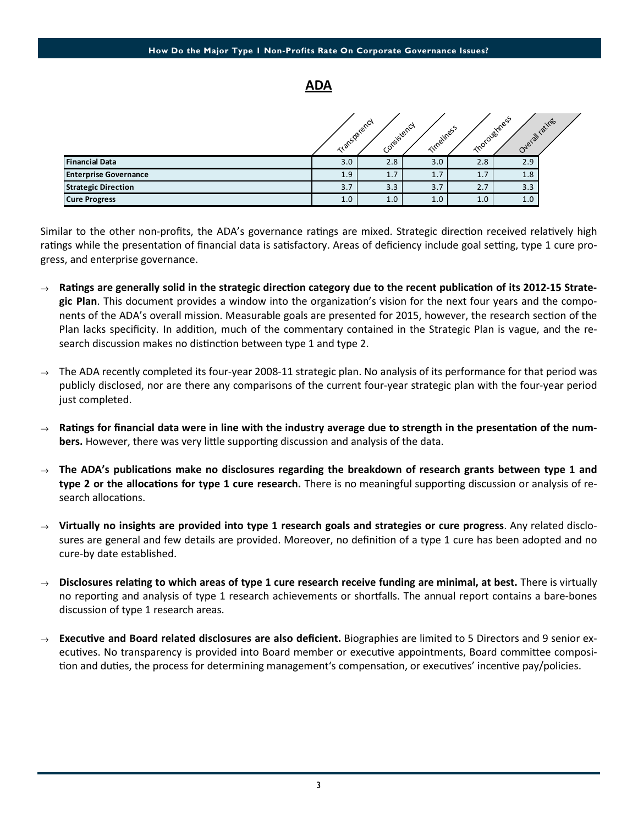#### ADA

|                              | Transparency | Consistency | Timeliness |     | Thoroughness<br>Overall ratings |  |
|------------------------------|--------------|-------------|------------|-----|---------------------------------|--|
| <b>Financial Data</b>        | 3.0          | 2.8         | 3.0        | 2.8 | 2.9                             |  |
| <b>Enterprise Governance</b> | 1.9          | 1.7         | 1.7        | 1.7 | 1.8                             |  |
| <b>Strategic Direction</b>   | 3.7          | 3.3         | 3.7        | 2.7 | 3.3                             |  |
| <b>Cure Progress</b>         | 1.0          | 1.0         | 1.0        | 1.0 | 1.0                             |  |

Similar to the other non-profits, the ADA's governance ratings are mixed. Strategic direction received relatively high ratings while the presentation of financial data is satisfactory. Areas of deficiency include goal setting, type 1 cure progress, and enterprise governance.

- $\rightarrow$  Ratings are generally solid in the strategic direction category due to the recent publication of its 2012-15 Strategic Plan. This document provides a window into the organization's vision for the next four years and the components of the ADA's overall mission. Measurable goals are presented for 2015, however, the research section of the Plan lacks specificity. In addition, much of the commentary contained in the Strategic Plan is vague, and the research discussion makes no distinction between type 1 and type 2.
- The ADA recently completed its four-year 2008-11 strategic plan. No analysis of its performance for that period was publicly disclosed, nor are there any comparisons of the current four-year strategic plan with the four-year period just completed.
- $\rightarrow$  Ratings for financial data were in line with the industry average due to strength in the presentation of the numbers. However, there was very little supporting discussion and analysis of the data.
- $\rightarrow$  The ADA's publications make no disclosures regarding the breakdown of research grants between type 1 and type 2 or the allocations for type 1 cure research. There is no meaningful supporting discussion or analysis of research allocations.
- $\rightarrow$  Virtually no insights are provided into type 1 research goals and strategies or cure progress. Any related disclosures are general and few details are provided. Moreover, no definition of a type 1 cure has been adopted and no cure-by date established.
- $\rightarrow$  Disclosures relating to which areas of type 1 cure research receive funding are minimal, at best. There is virtually no reporting and analysis of type 1 research achievements or shortfalls. The annual report contains a bare-bones discussion of type 1 research areas.
- $\rightarrow$  Executive and Board related disclosures are also deficient. Biographies are limited to 5 Directors and 9 senior executives. No transparency is provided into Board member or executive appointments, Board committee composition and duties, the process for determining management's compensation, or executives' incentive pay/policies.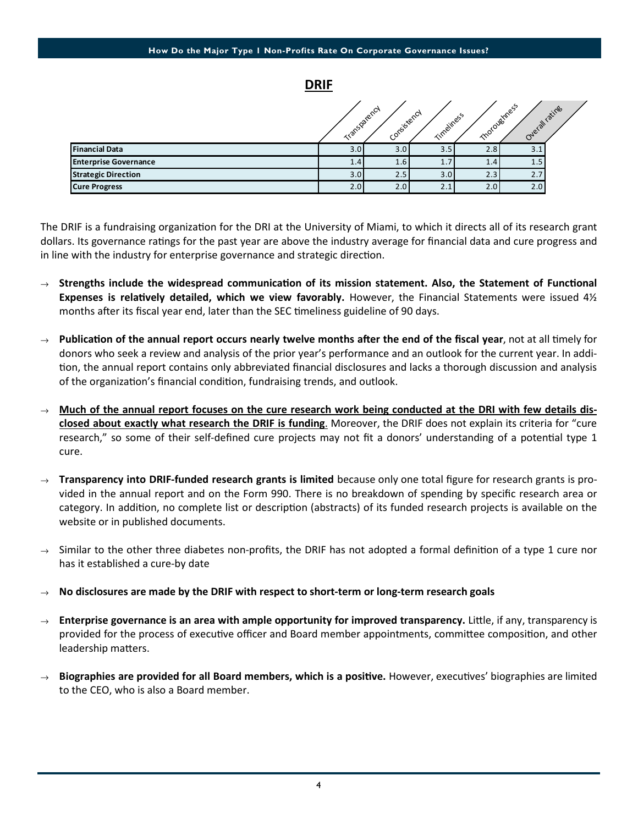DRIF

|                              | Transparency | Consistency | Timeliness | Thoroughness | Overall rating |  |
|------------------------------|--------------|-------------|------------|--------------|----------------|--|
| <b>Financial Data</b>        | 3.0          | 3.0         | 3.5        | 2.8          | 3.1            |  |
| <b>Enterprise Governance</b> | 1.4          | 1.6         | 1.7        | 1.4          | 1.5            |  |
| <b>Strategic Direction</b>   | 3.0          | 2.5         | 3.0        | 2.3          | 2.7            |  |
| <b>Cure Progress</b>         | 2.0          | 2.0         | 2.1        | 2.0          | 2.0            |  |

The DRIF is a fundraising organization for the DRI at the University of Miami, to which it directs all of its research grant dollars. Its governance ratings for the past year are above the industry average for financial data and cure progress and in line with the industry for enterprise governance and strategic direction.

- $\rightarrow$  Strengths include the widespread communication of its mission statement. Also, the Statement of Functional Expenses is relatively detailed, which we view favorably. However, the Financial Statements were issued  $4\frac{1}{2}$ months after its fiscal year end, later than the SEC timeliness guideline of 90 days.
- Publication of the annual report occurs nearly twelve months after the end of the fiscal year, not at all timely for donors who seek a review and analysis of the prior year's performance and an outlook for the current year. In addi tion, the annual report contains only abbreviated financial disclosures and lacks a thorough discussion and analysis of the organization's financial condition, fundraising trends, and outlook.
- $\rightarrow$  Much of the annual report focuses on the cure research work being conducted at the DRI with few details disclosed about exactly what research the DRIF is funding. Moreover, the DRIF does not explain its criteria for "cure research," so some of their self-defined cure projects may not fit a donors' understanding of a potential type 1 cure.
- $\rightarrow$  Transparency into DRIF-funded research grants is limited because only one total figure for research grants is provided in the annual report and on the Form 990. There is no breakdown of spending by specific research area or category. In addition, no complete list or description (abstracts) of its funded research projects is available on the website or in published documents.
- $\rightarrow$  Similar to the other three diabetes non-profits, the DRIF has not adopted a formal definition of a type 1 cure nor has it established a cure-by date
- No disclosures are made by the DRIF with respect to short-term or long-term research goals
- $\rightarrow$  Enterprise governance is an area with ample opportunity for improved transparency. Little, if any, transparency is provided for the process of executive officer and Board member appointments, committee composition, and other leadership matters.
- $\rightarrow$  Biographies are provided for all Board members, which is a positive. However, executives' biographies are limited to the CEO, who is also a Board member.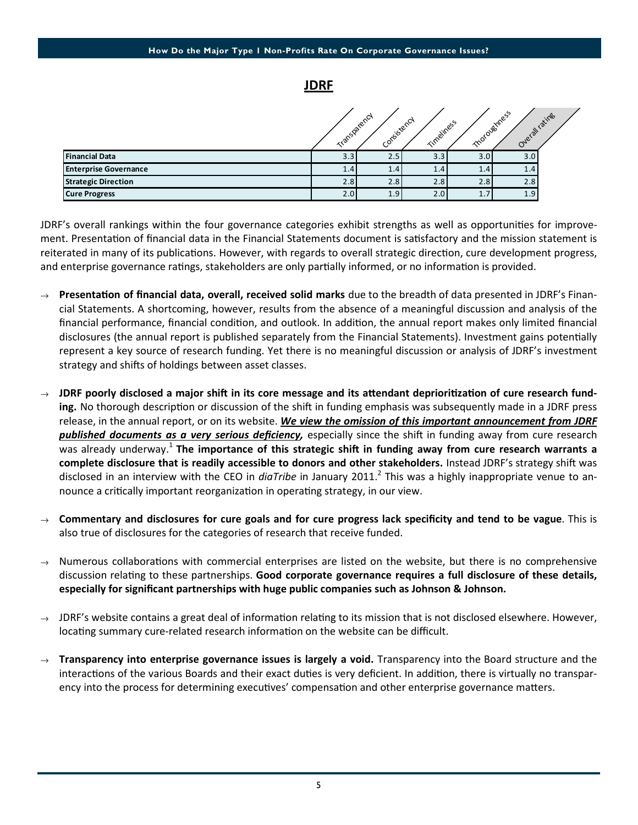

|                              | Transparency | Consistency      | Timeliness |     | Thoroughness<br>Overall ratings |  |
|------------------------------|--------------|------------------|------------|-----|---------------------------------|--|
| <b>Financial Data</b>        | 3.3          | 2.5              | 3.3        | 3.0 | 3.0                             |  |
| <b>Enterprise Governance</b> | 1.4          | 1.4 <sub>l</sub> | 1.4        | 1.4 | 1.4                             |  |
| <b>Strategic Direction</b>   | 2.8          | 2.8              | 2.8        | 2.8 | 2.8                             |  |
| <b>Cure Progress</b>         | 2.0          | 1.9              | 2.0        | 1.7 | 1.9                             |  |

JDRF's overall rankings within the four governance categories exhibit strengths as well as opportunities for improvement. Presentation of financial data in the Financial Statements document is satisfactory and the mission statement is reiterated in many of its publications. However, with regards to overall strategic direction, cure development progress, and enterprise governance ratings, stakeholders are only partially informed, or no information is provided.

- Presentation of financial data, overall, received solid marks due to the breadth of data presented in JDRF's Financial Statements. A shortcoming, however, results from the absence of a meaningful discussion and analysis of the financial performance, financial condition, and outlook. In addition, the annual report makes only limited financial disclosures (the annual report is published separately from the Financial Statements). Investment gains potentially represent a key source of research funding. Yet there is no meaningful discussion or analysis of JDRF's investment strategy and shifts of holdings between asset classes.
- JDRF poorly disclosed a major shift in its core message and its attendant deprioritization of cure research funding. No thorough description or discussion of the shift in funding emphasis was subsequently made in a JDRF press release, in the annual report, or on its website. We view the omission of this important announcement from JDRF published documents as a very serious deficiency, especially since the shift in funding away from cure research was already underway.<sup>1</sup> The importance of this strategic shift in funding away from cure research warrants a complete disclosure that is readily accessible to donors and other stakeholders. Instead JDRF's strategy shift was disclosed in an interview with the CEO in *diaTribe* in January 2011.<sup>2</sup> This was a highly inappropriate venue to announce a critically important reorganization in operating strategy, in our view.
- $\rightarrow$  Commentary and disclosures for cure goals and for cure progress lack specificity and tend to be vague. This is also true of disclosures for the categories of research that receive funded.
- $\rightarrow$  Numerous collaborations with commercial enterprises are listed on the website, but there is no comprehensive discussion relating to these partnerships. Good corporate governance requires a full disclosure of these details, especially for significant partnerships with huge public companies such as Johnson & Johnson.
- $\rightarrow$  JDRF's website contains a great deal of information relating to its mission that is not disclosed elsewhere. However, locating summary cure-related research information on the website can be difficult.
- $\rightarrow$  Transparency into enterprise governance issues is largely a void. Transparency into the Board structure and the interactions of the various Boards and their exact duties is very deficient. In addition, there is virtually no transparency into the process for determining executives' compensation and other enterprise governance matters.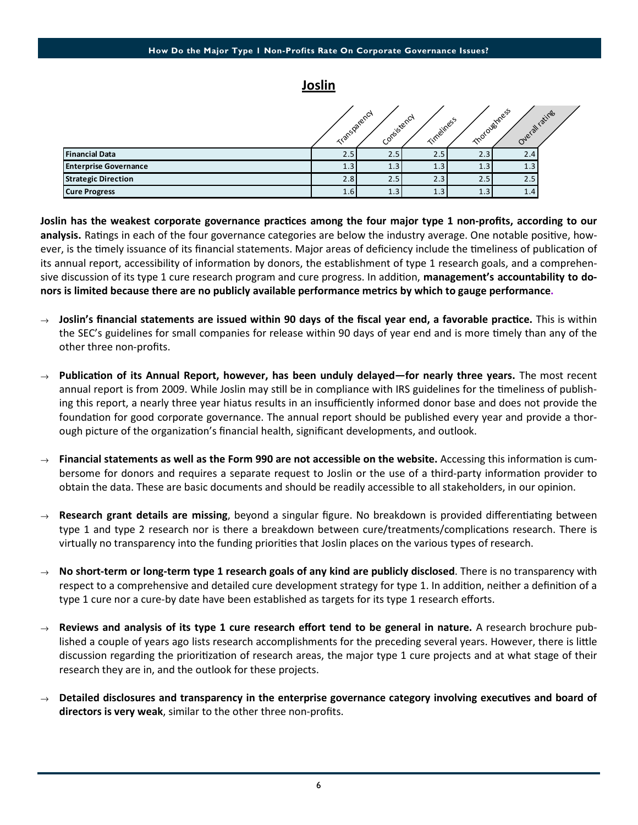Joslin

|                              | Transparency | Confistency | Timeliness |     | Thoroughness<br>Overall ratings |  |
|------------------------------|--------------|-------------|------------|-----|---------------------------------|--|
| <b>Financial Data</b>        | 2.5          | 2.5         | 2.5        | 2.3 | 2.4                             |  |
| <b>Enterprise Governance</b> | 1.3          | 1.3         | 1.3        | 1.3 | 1.3                             |  |
| <b>Strategic Direction</b>   | 2.8          | 2.5         | 2.3        | 2.5 | 2.5                             |  |
| <b>Cure Progress</b>         | 1.6          | 1.3         | 1.3        | 1.3 | 1.4                             |  |

Joslin has the weakest corporate governance practices among the four major type 1 non-profits, according to our analysis. Ratings in each of the four governance categories are below the industry average. One notable positive, however, is the timely issuance of its financial statements. Major areas of deficiency include the timeliness of publication of its annual report, accessibility of information by donors, the establishment of type 1 research goals, and a comprehensive discussion of its type 1 cure research program and cure progress. In addition, management's accountability to donors is limited because there are no publicly available performance metrics by which to gauge performance.

- $\rightarrow$  Joslin's financial statements are issued within 90 days of the fiscal year end, a favorable practice. This is within the SEC's guidelines for small companies for release within 90 days of year end and is more timely than any of the other three non-profits.
- $\rightarrow$  Publication of its Annual Report, however, has been unduly delayed—for nearly three years. The most recent annual report is from 2009. While Joslin may still be in compliance with IRS guidelines for the timeliness of publishing this report, a nearly three year hiatus results in an insufficiently informed donor base and does not provide the foundation for good corporate governance. The annual report should be published every year and provide a thorough picture of the organization's financial health, significant developments, and outlook.
- $\rightarrow$  Financial statements as well as the Form 990 are not accessible on the website. Accessing this information is cumbersome for donors and requires a separate request to Joslin or the use of a third-party information provider to obtain the data. These are basic documents and should be readily accessible to all stakeholders, in our opinion.
- Research grant details are missing, beyond a singular figure. No breakdown is provided differentiating between type 1 and type 2 research nor is there a breakdown between cure/treatments/complications research. There is virtually no transparency into the funding priorities that Joslin places on the various types of research.
- $\rightarrow$  No short-term or long-term type 1 research goals of any kind are publicly disclosed. There is no transparency with respect to a comprehensive and detailed cure development strategy for type 1. In addition, neither a definition of a type 1 cure nor a cure-by date have been established as targets for its type 1 research efforts.
- $\rightarrow$  Reviews and analysis of its type 1 cure research effort tend to be general in nature. A research brochure published a couple of years ago lists research accomplishments for the preceding several years. However, there is little discussion regarding the prioritization of research areas, the major type 1 cure projects and at what stage of their research they are in, and the outlook for these projects.
- $\rightarrow$  Detailed disclosures and transparency in the enterprise governance category involving executives and board of directors is very weak, similar to the other three non-profits.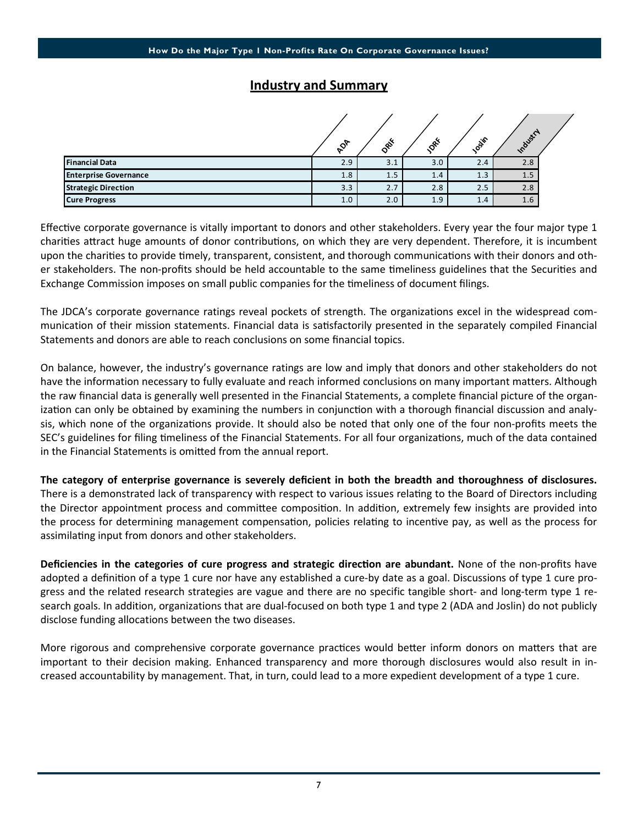## Industry and Summary

|                              | $\mathcal{S}^{\mathcal{P}}$ | ork | $\mathcal{S}^*$ | <b>OSIF</b> | Industry |  |
|------------------------------|-----------------------------|-----|-----------------|-------------|----------|--|
| <b>Financial Data</b>        | 2.9                         | 3.1 | 3.0             | 2.4         | 2.8      |  |
| <b>Enterprise Governance</b> | 1.8                         | 1.5 | 1.4             | 1.3         | 1.5      |  |
| <b>Strategic Direction</b>   | 3.3                         | 2.7 | 2.8             | 2.5         | 2.8      |  |
| <b>Cure Progress</b>         | 1.0                         | 2.0 | 1.9             | 1.4         | $1.6\,$  |  |

Effective corporate governance is vitally important to donors and other stakeholders. Every year the four major type 1 charities attract huge amounts of donor contributions, on which they are very dependent. Therefore, it is incumbent upon the charities to provide timely, transparent, consistent, and thorough communications with their donors and other stakeholders. The non-profits should be held accountable to the same timeliness guidelines that the Securities and Exchange Commission imposes on small public companies for the timeliness of document filings.

The JDCA's corporate governance ratings reveal pockets of strength. The organizations excel in the widespread communication of their mission statements. Financial data is satisfactorily presented in the separately compiled Financial Statements and donors are able to reach conclusions on some financial topics.

On balance, however, the industry's governance ratings are low and imply that donors and other stakeholders do not have the information necessary to fully evaluate and reach informed conclusions on many important matters. Although the raw financial data is generally well presented in the Financial Statements, a complete financial picture of the organization can only be obtained by examining the numbers in conjunction with a thorough financial discussion and analysis, which none of the organizations provide. It should also be noted that only one of the four non-profits meets the SEC's guidelines for filing timeliness of the Financial Statements. For all four organizations, much of the data contained in the Financial Statements is omitted from the annual report.

The category of enterprise governance is severely deficient in both the breadth and thoroughness of disclosures. There is a demonstrated lack of transparency with respect to various issues relating to the Board of Directors including the Director appointment process and committee composition. In addition, extremely few insights are provided into the process for determining management compensation, policies relating to incentive pay, as well as the process for assimilating input from donors and other stakeholders.

Deficiencies in the categories of cure progress and strategic direction are abundant. None of the non-profits have adopted a definition of a type 1 cure nor have any established a cure-by date as a goal. Discussions of type 1 cure progress and the related research strategies are vague and there are no specific tangible short- and long-term type 1 research goals. In addition, organizations that are dual-focused on both type 1 and type 2 (ADA and Joslin) do not publicly disclose funding allocations between the two diseases.

More rigorous and comprehensive corporate governance practices would better inform donors on matters that are important to their decision making. Enhanced transparency and more thorough disclosures would also result in increased accountability by management. That, in turn, could lead to a more expedient development of a type 1 cure.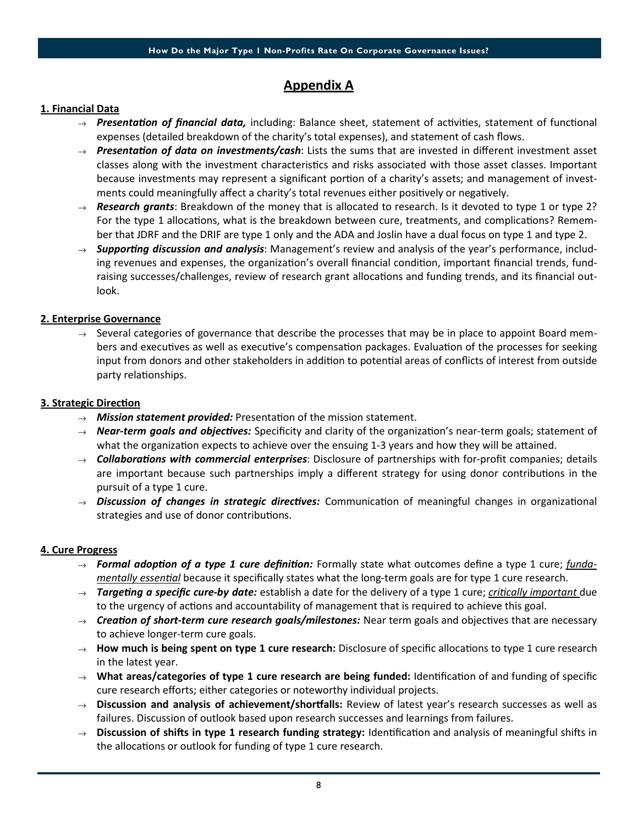# Appendix A

#### 1. Financial Data

- $\rightarrow$  Presentation of financial data, including: Balance sheet, statement of activities, statement of functional expenses (detailed breakdown of the charity's total expenses), and statement of cash flows.
- $\rightarrow$  Presentation of data on investments/cash: Lists the sums that are invested in different investment asset classes along with the investment characteristics and risks associated with those asset classes. Important because investments may represent a significant portion of a charity's assets; and management of investments could meaningfully affect a charity's total revenues either positively or negatively.
- $\rightarrow$  Research grants: Breakdown of the money that is allocated to research. Is it devoted to type 1 or type 2? For the type 1 allocations, what is the breakdown between cure, treatments, and complications? Remember that JDRF and the DRIF are type 1 only and the ADA and Joslin have a dual focus on type 1 and type 2.
- $\rightarrow$  Supporting discussion and analysis: Management's review and analysis of the year's performance, including revenues and expenses, the organization's overall financial condition, important financial trends, fundraising successes/challenges, review of research grant allocations and funding trends, and its financial outlook.

#### 2. Enterprise Governance

 $\rightarrow$  Several categories of governance that describe the processes that may be in place to appoint Board members and executives as well as executive's compensation packages. Evaluation of the processes for seeking input from donors and other stakeholders in addition to potential areas of conflicts of interest from outside party relationships.

#### 3. Strategic Direction

- $\rightarrow$  **Mission statement provided:** Presentation of the mission statement.
- $\rightarrow$  **Near-term goals and objectives:** Specificity and clarity of the organization's near-term goals; statement of what the organization expects to achieve over the ensuing 1-3 years and how they will be attained.
- $\rightarrow$  Collaborations with commercial enterprises: Disclosure of partnerships with for-profit companies; details are important because such partnerships imply a different strategy for using donor contributions in the pursuit of a type 1 cure.
- $\rightarrow$  Discussion of changes in strategic directives: Communication of meaningful changes in organizational strategies and use of donor contributions.

#### 4. Cure Progress

- $\rightarrow$  Formal adoption of a type 1 cure definition: Formally state what outcomes define a type 1 cure; fundamentally essential because it specifically states what the long-term goals are for type 1 cure research.
- $\rightarrow$  Targeting a specific cure-by date: establish a date for the delivery of a type 1 cure; critically important due to the urgency of actions and accountability of management that is required to achieve this goal.
- $\rightarrow$  Creation of short-term cure research goals/milestones: Near term goals and objectives that are necessary to achieve longer-term cure goals.
- $\rightarrow$  How much is being spent on type 1 cure research: Disclosure of specific allocations to type 1 cure research in the latest year.
- $\rightarrow$  What areas/categories of type 1 cure research are being funded: Identification of and funding of specific cure research efforts; either categories or noteworthy individual projects.
- $\rightarrow$  Discussion and analysis of achievement/shortfalls: Review of latest year's research successes as well as failures. Discussion of outlook based upon research successes and learnings from failures.
- $\rightarrow$  Discussion of shifts in type 1 research funding strategy: Identification and analysis of meaningful shifts in the allocations or outlook for funding of type 1 cure research.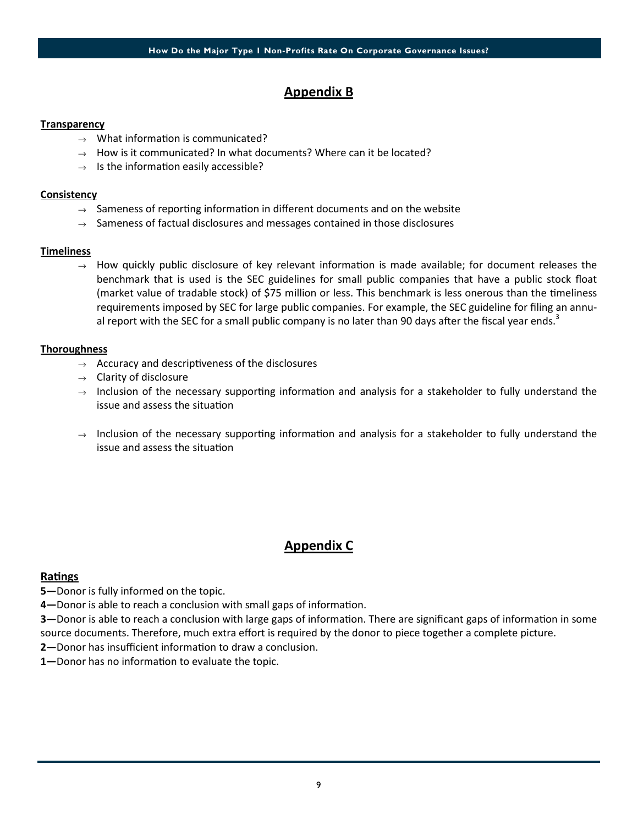### Appendix B

#### **Transparency**

- $\rightarrow$  What information is communicated?
- $\rightarrow$  How is it communicated? In what documents? Where can it be located?
- $\rightarrow$  Is the information easily accessible?

#### **Consistency**

- $\rightarrow$  Sameness of reporting information in different documents and on the website
- $\rightarrow$  Sameness of factual disclosures and messages contained in those disclosures

#### **Timeliness**

 $\rightarrow$  How quickly public disclosure of key relevant information is made available; for document releases the benchmark that is used is the SEC guidelines for small public companies that have a public stock float (market value of tradable stock) of \$75 million or less. This benchmark is less onerous than the timeliness requirements imposed by SEC for large public companies. For example, the SEC guideline for filing an annual report with the SEC for a small public company is no later than 90 days after the fiscal year ends.<sup>3</sup>

#### **Thoroughness**

- $\rightarrow$  Accuracy and descriptiveness of the disclosures
- $\rightarrow$  Clarity of disclosure
- $\rightarrow$  Inclusion of the necessary supporting information and analysis for a stakeholder to fully understand the issue and assess the situation
- $\rightarrow$  Inclusion of the necessary supporting information and analysis for a stakeholder to fully understand the issue and assess the situation

### Appendix C

#### Ratings

- 5-Donor is fully informed on the topic.
- 4—Donor is able to reach a conclusion with small gaps of information.
- 3—Donor is able to reach a conclusion with large gaps of information. There are significant gaps of information in some source documents. Therefore, much extra effort is required by the donor to piece together a complete picture.
- 2-Donor has insufficient information to draw a conclusion.
- 1-Donor has no information to evaluate the topic.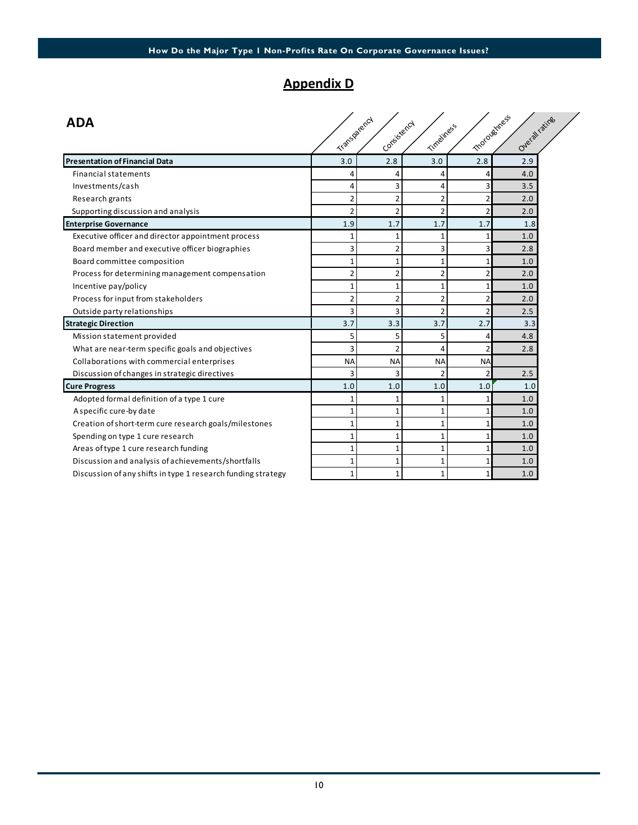# Appendix D

| <b>ADA</b>                                                   |                |                |                |                 |                                |  |
|--------------------------------------------------------------|----------------|----------------|----------------|-----------------|--------------------------------|--|
|                                                              | Transparency   | Consistency    | Timeliness     |                 | motoughtess<br>Overall ratings |  |
| <b>Presentation of Financial Data</b>                        | 3.0            | 2.8            | 3.0            | 2.8             | 2.9                            |  |
| <b>Financial statements</b>                                  | 4              | 4              | 4              | Δ               | 4.0                            |  |
| Investments/cash                                             | 4              | 3              | 4              | 3               | 3.5                            |  |
| Research grants                                              | $\overline{2}$ | $\overline{2}$ | $\overline{2}$ | $\overline{2}$  | 2.0                            |  |
| Supporting discussion and analysis                           | $\overline{2}$ | $\overline{2}$ | $\overline{2}$ | $\overline{2}$  | 2.0                            |  |
| <b>Enterprise Governance</b>                                 | 1.9            | 1.7            | 1.7            | 1.7             | 1.8                            |  |
| Executive officer and director appointment process           | 1              | $\mathbf{1}$   | 1              |                 | 1.0                            |  |
| Board member and executive officer biographies               | 3              | $\overline{2}$ | 3              | 3               | 2.8                            |  |
| Board committee composition                                  | 1              | $\mathbf{1}$   | $\mathbf{1}$   | 1               | 1.0                            |  |
| Process for determining management compensation              | 2              | $\overline{2}$ | $\overline{2}$ | $\overline{2}$  | 2.0                            |  |
| Incentive pay/policy                                         | 1              | $\mathbf{1}$   | 1              |                 | 1.0                            |  |
| Process for input from stakeholders                          | 2              | $\overline{2}$ | 2              | $\overline{2}$  | 2.0                            |  |
| Outside party relationships                                  | 3              | 3              | $\overline{2}$ | $\overline{2}$  | 2.5                            |  |
| <b>Strategic Direction</b>                                   | 3.7            | 3.3            | 3.7            | 2.7             | 3.3                            |  |
| Mission statement provided                                   | 5              | 5              | 5              | Δ               | 4.8                            |  |
| What are near-term specific goals and objectives             | 3              | $\overline{2}$ | $\overline{4}$ | $\overline{2}$  | 2.8                            |  |
| Collaborations with commercial enterprises                   | <b>NA</b>      | <b>NA</b>      | <b>NA</b>      | <b>NA</b>       |                                |  |
| Discussion of changes in strategic directives                | 3              | 3              | $\overline{2}$ | $\overline{2}$  | 2.5                            |  |
| <b>Cure Progress</b>                                         | 1.0            | 1.0            | 1.0            | 1.0             | 1.0                            |  |
| Adopted formal definition of a type 1 cure                   | 1              | 1              | 1              | 1               | 1.0                            |  |
| A specific cure-by date                                      | 1              | $\mathbf{1}$   | $\mathbf{1}$   | $\mathbf{1}$    | 1.0                            |  |
| Creation of short-term cure research goals/milestones        | 1              | $\mathbf{1}$   | $\mathbf{1}$   | 1               | 1.0                            |  |
| Spending on type 1 cure research                             | $\mathbf{1}$   | $\mathbf{1}$   | 1              | $\mathbf{1}$    | 1.0                            |  |
| Areas of type 1 cure research funding                        | 1              | $\mathbf{1}$   | $\mathbf{1}$   | 1               | 1.0                            |  |
| Discussion and analysis of achievements/shortfalls           | $\mathbf{1}$   | $\mathbf{1}$   | $\mathbf{1}$   | 1               | 1.0                            |  |
| Discussion of any shifts in type 1 research funding strategy | $\mathbf{1}$   | $\mathbf{1}$   | $\mathbf{1}$   | $1\overline{ }$ | 1.0                            |  |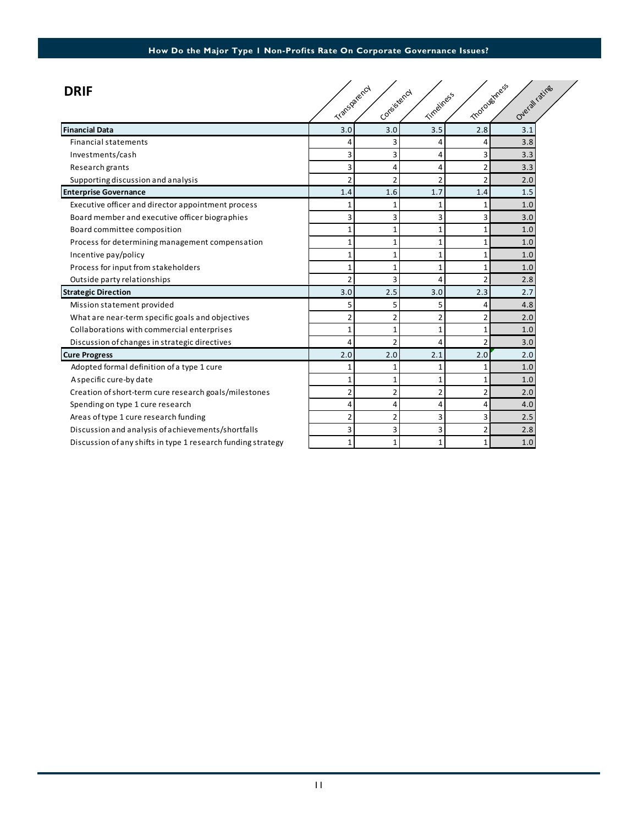| <b>DRIF</b>                                                  | Transparency   | Consistency    | Timeliness     |                | motoughtess<br>Overall ratings |  |
|--------------------------------------------------------------|----------------|----------------|----------------|----------------|--------------------------------|--|
| <b>Financial Data</b>                                        | 3.0            | 3.0            | 3.5            | 2.8            | 3.1                            |  |
| <b>Financial statements</b>                                  | 4              | 3              | 4              | 4              | 3.8                            |  |
| Investments/cash                                             | 3              | 3              | 4              | 3              | 3.3                            |  |
| Research grants                                              | 3              | 4              | 4              | 2              | 3.3                            |  |
| Supporting discussion and analysis                           |                | $\overline{2}$ | $\overline{2}$ | $\overline{2}$ | 2.0                            |  |
| <b>Enterprise Governance</b>                                 | 1.4            | 1.6            | 1.7            | 1.4            | 1.5                            |  |
| Executive officer and director appointment process           |                | 1              |                | 1              | 1.0                            |  |
| Board member and executive officer biographies               | 3              | 3              | 3              | 3              | 3.0                            |  |
| Board committee composition                                  |                | $\mathbf{1}$   |                | 1              | 1.0                            |  |
| Process for determining management compensation              |                | 1              |                |                | 1.0                            |  |
| Incentive pay/policy                                         |                | 1              | 1              | 1              | 1.0                            |  |
| Process for input from stakeholders                          |                | 1              | 1              |                | 1.0                            |  |
| Outside party relationships                                  |                | 3              | 4              | $\overline{2}$ | 2.8                            |  |
| <b>Strategic Direction</b>                                   | 3.0            | 2.5            | 3.0            | 2.3            | 2.7                            |  |
| Mission statement provided                                   | 5              | 5              | 5              | 4              | 4.8                            |  |
| What are near-term specific goals and objectives             | 2              | 2              | $\overline{2}$ | $\overline{2}$ | 2.0                            |  |
| Collaborations with commercial enterprises                   | $\mathbf{1}$   | $\mathbf{1}$   | $\mathbf{1}$   | $\mathbf{1}$   | 1.0                            |  |
| Discussion of changes in strategic directives                | 4              | $\overline{2}$ | 4              | $\overline{2}$ | 3.0                            |  |
| <b>Cure Progress</b>                                         | 2.0            | 2.0            | 2.1            | 2.0            | 2.0                            |  |
| Adopted formal definition of a type 1 cure                   |                | 1              |                |                | 1.0                            |  |
| A specific cure-by date                                      |                | 1              |                |                | 1.0                            |  |
| Creation of short-term cure research goals/milestones        | $\overline{2}$ | 2              | 2              | 2              | 2.0                            |  |
| Spending on type 1 cure research                             | 4              | 4              | 4              | 4              | 4.0                            |  |
| Areas of type 1 cure research funding                        | 2              | $\overline{2}$ | 3              | 3              | 2.5                            |  |
| Discussion and analysis of achievements/shortfalls           | 3              | 3              | 3              | 2              | 2.8                            |  |
| Discussion of any shifts in type 1 research funding strategy | $\mathbf{1}$   | $\mathbf{1}$   | $\mathbf{1}$   | $\mathbf{1}$   | 1.0                            |  |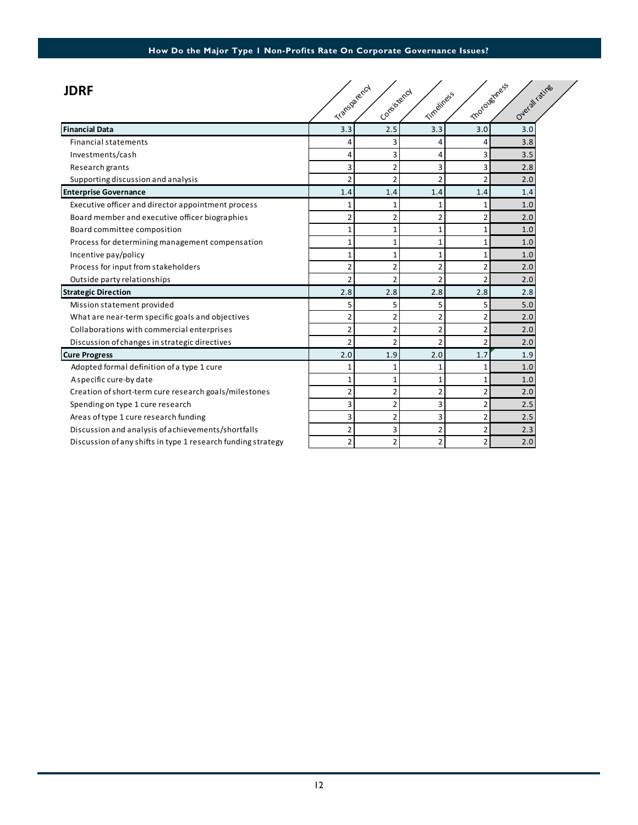| <b>JDRF</b>                                                  | Transparency             | Conteistency   | Timeliness     |                | motoughtess<br>Overall ratings |  |
|--------------------------------------------------------------|--------------------------|----------------|----------------|----------------|--------------------------------|--|
|                                                              |                          |                |                |                |                                |  |
| <b>Financial Data</b>                                        | 3.3                      | 2.5            | 3.3            | 3.0            | 3.0                            |  |
| <b>Financial statements</b>                                  | 4                        | 3              | 4              | 4              | 3.8                            |  |
| Investments/cash                                             | 4                        | 3              | 4              | 3              | 3.5                            |  |
| Research grants                                              | 3                        | $\overline{2}$ | 3              | 3              | 2.8                            |  |
| Supporting discussion and analysis                           | 2                        | $\overline{2}$ | $\overline{2}$ | $\overline{2}$ | 2.0                            |  |
| <b>Enterprise Governance</b>                                 | 1.4                      | 1.4            | 1.4            | 1.4            | 1.4                            |  |
| Executive officer and director appointment process           | 1                        | $\mathbf{1}$   | $\mathbf{1}$   | $\overline{1}$ | 1.0                            |  |
| Board member and executive officer biographies               | $\overline{2}$           | $\overline{2}$ | $\overline{2}$ | $\overline{2}$ | 2.0                            |  |
| Board committee composition                                  | $\mathbf{1}$             | $\mathbf{1}$   | $\mathbf{1}$   | $\mathbf{1}$   | 1.0                            |  |
| Process for determining management compensation              | 1                        | $\mathbf{1}$   | $\mathbf{1}$   |                | 1.0                            |  |
| Incentive pay/policy                                         | 1                        | $\mathbf{1}$   | $\mathbf{1}$   | $\mathbf{1}$   | 1.0                            |  |
| Process for input from stakeholders                          | $\overline{2}$           | $\overline{2}$ | $\overline{2}$ | 2              | 2.0                            |  |
| Outside party relationships                                  | 2                        | $\overline{2}$ | $\overline{2}$ | $\overline{2}$ | 2.0                            |  |
| <b>Strategic Direction</b>                                   | 2.8                      | 2.8            | 2.8            | 2.8            | 2.8                            |  |
| Mission statement provided                                   | 5                        | 5              | 5              | 5              | 5.0                            |  |
| What are near-term specific goals and objectives             | $\overline{2}$           | $\overline{2}$ | $\overline{2}$ | 2              | 2.0                            |  |
| Collaborations with commercial enterprises                   | $\overline{2}$           | $\overline{2}$ | $\overline{2}$ | $\overline{2}$ | 2.0                            |  |
| Discussion of changes in strategic directives                | $\overline{\phantom{a}}$ | $\overline{2}$ | $\overline{2}$ | $\overline{2}$ | 2.0                            |  |
| <b>Cure Progress</b>                                         | 2.0                      | 1.9            | 2.0            | 1.7            | 1.9                            |  |
| Adopted formal definition of a type 1 cure                   | 1                        | $\mathbf{1}$   | $\mathbf{1}$   | 1              | 1.0                            |  |
| A specific cure-by date                                      | $\mathbf{1}$             | $\mathbf{1}$   | $\mathbf{1}$   | 1              | 1.0                            |  |
| Creation of short-term cure research goals/milestones        | $\overline{a}$           | 2              | $\overline{2}$ | $\overline{2}$ | 2.0                            |  |
| Spending on type 1 cure research                             | 3                        | $\overline{2}$ | 3              | 2              | 2.5                            |  |
| Areas of type 1 cure research funding                        | 3                        | $\overline{2}$ | 3              | $\overline{2}$ | 2.5                            |  |
| Discussion and analysis of achievements/shortfalls           | $\overline{2}$           | 3              | $\overline{2}$ | $\overline{2}$ | 2.3                            |  |
| Discussion of any shifts in type 1 research funding strategy | 2                        | $\overline{2}$ | $\overline{2}$ | $\overline{2}$ | 2.0                            |  |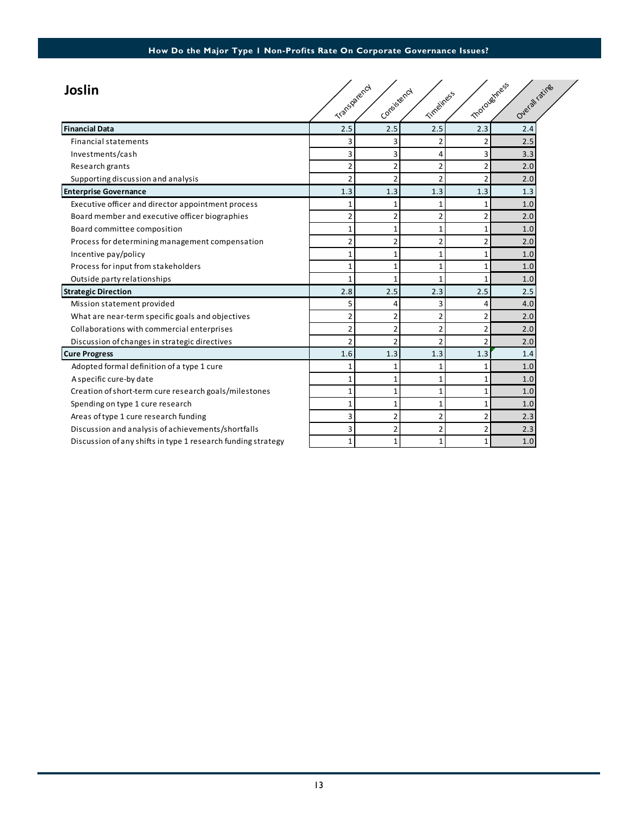| Joslin                                                       | Transparency   | Consistency    | Timeliness     |                | motoughtess<br>Overall ratings |  |
|--------------------------------------------------------------|----------------|----------------|----------------|----------------|--------------------------------|--|
| <b>Financial Data</b>                                        | 2.5            | 2.5            | 2.5            | 2.3            | 2.4                            |  |
| <b>Financial statements</b>                                  | 3              | 3              | 2              | 2              | 2.5                            |  |
| Investments/cash                                             | 3              | $\overline{3}$ | $\overline{4}$ | 3              | 3.3                            |  |
| Research grants                                              | $\overline{2}$ | $\overline{2}$ | $\overline{2}$ | $\overline{2}$ | 2.0                            |  |
| Supporting discussion and analysis                           | $\overline{2}$ | $\overline{2}$ | $\overline{2}$ | $\overline{2}$ | 2.0                            |  |
| <b>Enterprise Governance</b>                                 | 1.3            | 1.3            | 1.3            | 1.3            | 1.3                            |  |
| Executive officer and director appointment process           | 1              | $\mathbf{1}$   | 1              | 1              | 1.0                            |  |
| Board member and executive officer biographies               | $\overline{2}$ | $\overline{2}$ | $\overline{2}$ | $\overline{2}$ | 2.0                            |  |
| Board committee composition                                  | $\mathbf{1}$   | $\mathbf{1}$   | $\mathbf{1}$   | $\mathbf{1}$   | 1.0                            |  |
| Process for determining management compensation              | $\overline{2}$ | $\overline{2}$ | $\overline{2}$ | $\overline{2}$ | 2.0                            |  |
| Incentive pay/policy                                         | 1              | 1              | 1              | 1              | 1.0                            |  |
| Process for input from stakeholders                          | 1              | $\mathbf{1}$   | $\mathbf{1}$   | 1              | 1.0                            |  |
| Outside party relationships                                  |                | $\mathbf{1}$   | $\mathbf{1}$   | $\mathbf{1}$   | 1.0                            |  |
| <b>Strategic Direction</b>                                   | 2.8            | 2.5            | 2.3            | 2.5            | 2.5                            |  |
| Mission statement provided                                   | 5              | 4              | 3              | 4              | 4.0                            |  |
| What are near-term specific goals and objectives             | $\overline{2}$ | $\overline{2}$ | $\overline{2}$ | $\overline{2}$ | 2.0                            |  |
| Collaborations with commercial enterprises                   | $\overline{2}$ | $\overline{2}$ | $\overline{2}$ | $\overline{2}$ | 2.0                            |  |
| Discussion of changes in strategic directives                | $\overline{2}$ | $\overline{2}$ | $\overline{2}$ | $\overline{2}$ | 2.0                            |  |
| <b>Cure Progress</b>                                         | 1.6            | 1.3            | 1.3            | 1.3            | 1.4                            |  |
| Adopted formal definition of a type 1 cure                   | 1              | 1              | 1              | 1              | 1.0                            |  |
| A specific cure-by date                                      | $\mathbf{1}$   | $\mathbf{1}$   | $\mathbf{1}$   | $\mathbf{1}$   | 1.0                            |  |
| Creation of short-term cure research goals/milestones        | $\mathbf{1}$   | $\mathbf{1}$   | $\mathbf{1}$   | $\mathbf{1}$   | 1.0                            |  |
| Spending on type 1 cure research                             | 1              | $\mathbf{1}$   | $\mathbf{1}$   | 1              | 1.0                            |  |
| Areas of type 1 cure research funding                        | 3              | $\overline{2}$ | $\overline{2}$ | $\overline{2}$ | 2.3                            |  |
| Discussion and analysis of achievements/shortfalls           | 3              | $\overline{2}$ | $\overline{2}$ | $\overline{2}$ | 2.3                            |  |
| Discussion of any shifts in type 1 research funding strategy | $\mathbf{1}$   | $\mathbf{1}$   | $\mathbf{1}$   | $1\vert$       | 1.0                            |  |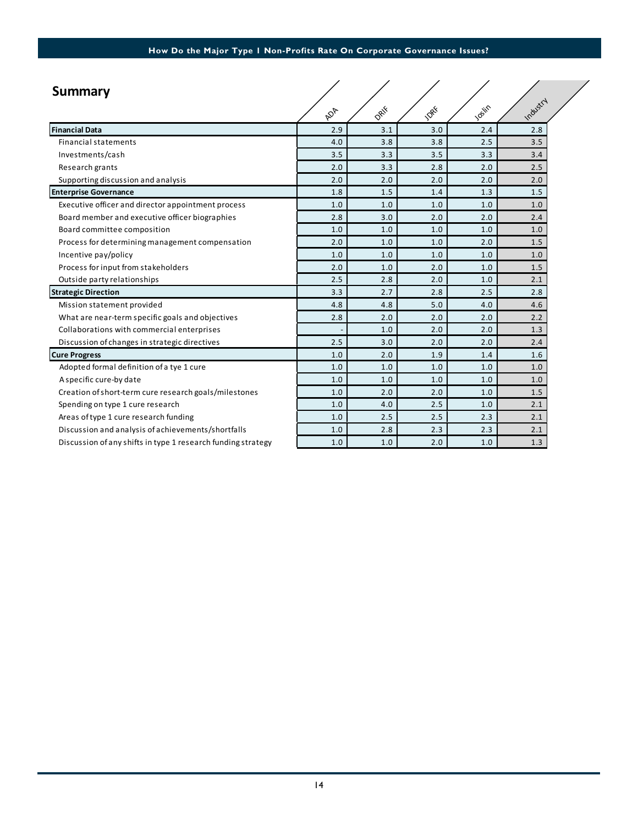| <b>Summary</b>                                               |     |      |      |       |          |  |
|--------------------------------------------------------------|-----|------|------|-------|----------|--|
|                                                              | ADA | DRIF | 1088 | Josin | Industry |  |
| <b>Financial Data</b>                                        | 2.9 | 3.1  | 3.0  | 2.4   | 2.8      |  |
| <b>Financial statements</b>                                  | 4.0 | 3.8  | 3.8  | 2.5   | 3.5      |  |
| Investments/cash                                             | 3.5 | 3.3  | 3.5  | 3.3   | 3.4      |  |
| Research grants                                              | 2.0 | 3.3  | 2.8  | 2.0   | 2.5      |  |
| Supporting discussion and analysis                           | 2.0 | 2.0  | 2.0  | 2.0   | 2.0      |  |
| <b>Enterprise Governance</b>                                 | 1.8 | 1.5  | 1.4  | 1.3   | 1.5      |  |
| Executive officer and director appointment process           | 1.0 | 1.0  | 1.0  | 1.0   | 1.0      |  |
| Board member and executive officer biographies               | 2.8 | 3.0  | 2.0  | 2.0   | 2.4      |  |
| Board committee composition                                  | 1.0 | 1.0  | 1.0  | 1.0   | 1.0      |  |
| Process for determining management compensation              | 2.0 | 1.0  | 1.0  | 2.0   | 1.5      |  |
| Incentive pay/policy                                         | 1.0 | 1.0  | 1.0  | 1.0   | 1.0      |  |
| Process for input from stakeholders                          | 2.0 | 1.0  | 2.0  | 1.0   | 1.5      |  |
| Outside party relationships                                  | 2.5 | 2.8  | 2.0  | 1.0   | 2.1      |  |
| <b>Strategic Direction</b>                                   | 3.3 | 2.7  | 2.8  | 2.5   | 2.8      |  |
| Mission statement provided                                   | 4.8 | 4.8  | 5.0  | 4.0   | 4.6      |  |
| What are near-term specific goals and objectives             | 2.8 | 2.0  | 2.0  | 2.0   | 2.2      |  |
| Collaborations with commercial enterprises                   |     | 1.0  | 2.0  | 2.0   | 1.3      |  |
| Discussion of changes in strategic directives                | 2.5 | 3.0  | 2.0  | 2.0   | 2.4      |  |
| <b>Cure Progress</b>                                         | 1.0 | 2.0  | 1.9  | 1.4   | 1.6      |  |
| Adopted formal definition of a tye 1 cure                    | 1.0 | 1.0  | 1.0  | 1.0   | 1.0      |  |
| A specific cure-by date                                      | 1.0 | 1.0  | 1.0  | 1.0   | 1.0      |  |
| Creation of short-term cure research goals/milestones        | 1.0 | 2.0  | 2.0  | 1.0   | 1.5      |  |
| Spending on type 1 cure research                             | 1.0 | 4.0  | 2.5  | 1.0   | 2.1      |  |
| Areas of type 1 cure research funding                        | 1.0 | 2.5  | 2.5  | 2.3   | 2.1      |  |
| Discussion and analysis of achievements/shortfalls           | 1.0 | 2.8  | 2.3  | 2.3   | 2.1      |  |
| Discussion of any shifts in type 1 research funding strategy | 1.0 | 1.0  | 2.0  | 1.0   | 1.3      |  |